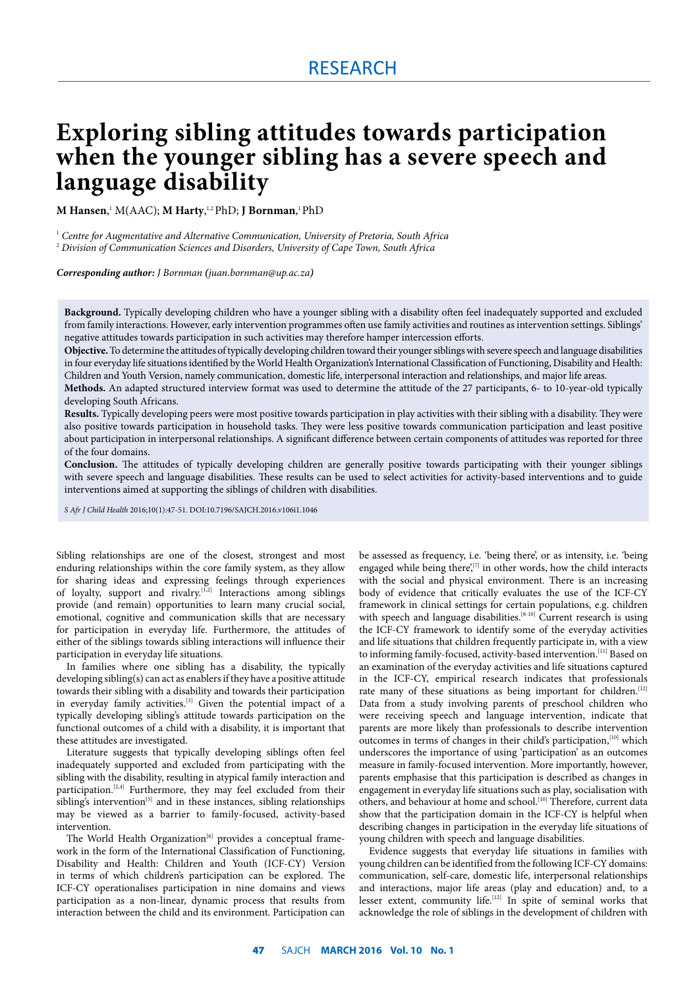# **Exploring sibling attitudes towards participation when the younger sibling has a severe speech and language disability**

**M Hansen**, 1 M(AAC); **M Harty**, 1,2 PhD; **J Bornman**, 1 PhD

<sup>1</sup> *Centre for Augmentative and Alternative Communication, University of Pretoria, South Africa* <sup>2</sup> *Division of Communication Sciences and Disorders, University of Cape Town, South Africa*

#### *Corresponding author: J Bornman (juan.bornman@up.ac.za)*

**Background.** Typically developing children who have a younger sibling with a disability often feel inadequately supported and excluded from family interactions. However, early intervention programmes often use family activities and routines as intervention settings. Siblings' negative attitudes towards participation in such activities may therefore hamper intercession efforts.

**Objective.** To determine the attitudes of typically developing children toward their younger siblings with severe speech and language disabilities in four everyday life situations identified by the World Health Organization's International Classification of Functioning, Disability and Health: Children and Youth Version, namely communication, domestic life, interpersonal interaction and relationships, and major life areas.

**Methods.** An adapted structured interview format was used to determine the attitude of the 27 participants, 6- to 10-year-old typically developing South Africans.

**Results.** Typically developing peers were most positive towards participation in play activities with their sibling with a disability. They were also positive towards participation in household tasks. They were less positive towards communication participation and least positive about participation in interpersonal relationships. A significant difference between certain components of attitudes was reported for three of the four domains.

**Conclusion.** The attitudes of typically developing children are generally positive towards participating with their younger siblings with severe speech and language disabilities. These results can be used to select activities for activity-based interventions and to guide interventions aimed at supporting the siblings of children with disabilities.

*S Afr J Child Health* 2016;10(1):47-51. DOI:10.7196/SAJCH.2016.v106i1.1046

Sibling relationships are one of the closest, strongest and most enduring relationships within the core family system, as they allow for sharing ideas and expressing feelings through experiences of loyalty, support and rivalry.<sup>[1,2]</sup> Interactions among siblings provide (and remain) opportunities to learn many crucial social, emotional, cognitive and communication skills that are necessary for participation in everyday life. Furthermore, the attitudes of either of the siblings towards sibling interactions will influence their participation in everyday life situations.

In families where one sibling has a disability, the typically developing sibling(s) can act as enablers if they have a positive attitude towards their sibling with a disability and towards their participation in everyday family activities.<sup>[3]</sup> Given the potential impact of a typically developing sibling's attitude towards participation on the functional outcomes of a child with a disability, it is important that these attitudes are investigated.

Literature suggests that typically developing siblings often feel inadequately supported and excluded from participating with the sibling with the disability, resulting in atypical family interaction and participation.<sup>[2,4]</sup> Furthermore, they may feel excluded from their  $sibling's intervention<sup>[5]</sup>$  and in these instances, sibling relationships may be viewed as a barrier to family-focused, activity-based intervention.

The World Health Organization<sup>[6]</sup> provides a conceptual framework in the form of the International Classification of Functioning, Disability and Health: Children and Youth (ICF-CY) Version in terms of which children's participation can be explored. The ICF-CY operationalises participation in nine domains and views participation as a non-linear, dynamic process that results from interaction between the child and its environment. Participation can

be assessed as frequency, i.e. 'being there', or as intensity, i.e. 'being engaged while being there', $[7]$  in other words, how the child interacts with the social and physical environment. There is an increasing body of evidence that critically evaluates the use of the ICF-CY framework in clinical settings for certain populations, e.g. children with speech and language disabilities.<sup>[8-10]</sup> Current research is using the ICF-CY framework to identify some of the everyday activities and life situations that children frequently participate in, with a view to informing family-focused, activity-based intervention.<sup>[11]</sup> Based on an examination of the everyday activities and life situations captured in the ICF-CY, empirical research indicates that professionals rate many of these situations as being important for children.<sup>[12]</sup> Data from a study involving parents of preschool children who were receiving speech and language intervention, indicate that parents are more likely than professionals to describe intervention outcomes in terms of changes in their child's participation,<sup>[10]</sup> which underscores the importance of using 'participation' as an outcomes measure in family-focused intervention. More importantly, however, parents emphasise that this participation is described as changes in engagement in everyday life situations such as play, socialisation with others, and behaviour at home and school.<sup>[10]</sup> Therefore, current data show that the participation domain in the ICF-CY is helpful when describing changes in participation in the everyday life situations of young children with speech and language disabilities.

Evidence suggests that everyday life situations in families with young children can be identified from the following ICF-CY domains: communication, self-care, domestic life, interpersonal relationships and interactions, major life areas (play and education) and, to a lesser extent, community life.<sup>[12]</sup> In spite of seminal works that acknowledge the role of siblings in the development of children with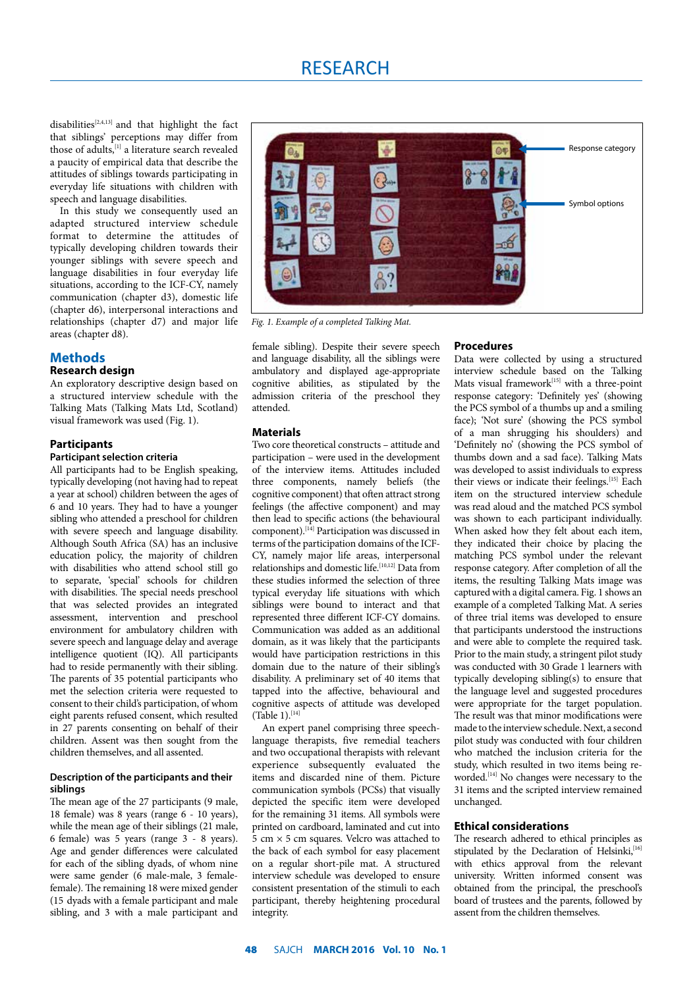# RESEARCH

disabilities<sup>[2,4,13]</sup> and that highlight the fact that siblings' perceptions may differ from those of adults,  $\left[1\right]$  a literature search revealed a paucity of empirical data that describe the attitudes of siblings towards participating in everyday life situations with children with speech and language disabilities.

In this study we consequently used an adapted structured interview schedule format to determine the attitudes of typically developing children towards their younger siblings with severe speech and language disabilities in four everyday life situations, according to the ICF-CY, namely communication (chapter d3), domestic life (chapter d6), interpersonal interactions and relationships (chapter d7) and major life areas (chapter d8).

# **Methods**

**Research design** 

An exploratory descriptive design based on a structured interview schedule with the Talking Mats (Talking Mats Ltd, Scotland) visual framework was used (Fig. 1).

# **Participants**

# **Participant selection criteria**

All participants had to be English speaking, typically developing (not having had to repeat a year at school) children between the ages of 6 and 10 years. They had to have a younger sibling who attended a preschool for children with severe speech and language disability. Although South Africa (SA) has an inclusive education policy, the majority of children with disabilities who attend school still go to separate, 'special' schools for children with disabilities. The special needs preschool that was selected provides an integrated assessment, intervention and preschool environment for ambulatory children with severe speech and language delay and average intelligence quotient (IQ). All participants had to reside permanently with their sibling. The parents of 35 potential participants who met the selection criteria were requested to consent to their child's participation, of whom eight parents refused consent, which resulted in 27 parents consenting on behalf of their children. Assent was then sought from the children themselves, and all assented.

### **Description of the participants and their siblings**

The mean age of the 27 participants (9 male, 18 female) was 8 years (range 6 - 10 years), while the mean age of their siblings (21 male, 6 female) was 5 years (range 3 - 8 years). Age and gender differences were calculated for each of the sibling dyads, of whom nine were same gender (6 male-male, 3 femalefemale). The remaining 18 were mixed gender (15 dyads with a female participant and male sibling, and 3 with a male participant and



*Fig. 1. Example of a completed Talking Mat.*

female sibling). Despite their severe speech and language disability, all the siblings were ambulatory and displayed age-appropriate cognitive abilities, as stipulated by the admission criteria of the preschool they attended.

# **Materials**

Two core theoretical constructs – attitude and participation – were used in the development of the interview items. Attitudes included three components, namely beliefs (the cognitive component) that often attract strong feelings (the affective component) and may then lead to specific actions (the behavioural component).[14] Participation was discussed in terms of the participation domains of the ICF-CY, namely major life areas, interpersonal relationships and domestic life.<sup>[10,12]</sup> Data from these studies informed the selection of three typical everyday life situations with which siblings were bound to interact and that represented three different ICF-CY domains. Communication was added as an additional domain, as it was likely that the participants would have participation restrictions in this domain due to the nature of their sibling's disability. A preliminary set of 40 items that tapped into the affective, behavioural and cognitive aspects of attitude was developed  $(Table 1).$ <sup>[14]</sup>

An expert panel comprising three speechlanguage therapists, five remedial teachers and two occupational therapists with relevant experience subsequently evaluated the items and discarded nine of them. Picture communication symbols (PCSs) that visually depicted the specific item were developed for the remaining 31 items. All symbols were printed on cardboard, laminated and cut into  $\frac{1}{5}$  cm  $\times$  5 cm squares. Velcro was attached to the back of each symbol for easy placement on a regular short-pile mat. A structured interview schedule was developed to ensure consistent presentation of the stimuli to each participant, thereby heightening procedural integrity.

#### **Procedures**

Data were collected by using a structured interview schedule based on the Talking Mats visual framework[15] with a three-point response category: 'Definitely yes' (showing the PCS symbol of a thumbs up and a smiling face); 'Not sure' (showing the PCS symbol of a man shrugging his shoulders) and 'Definitely no' (showing the PCS symbol of thumbs down and a sad face). Talking Mats was developed to assist individuals to express their views or indicate their feelings.<sup>[15]</sup> Each item on the structured interview schedule was read aloud and the matched PCS symbol was shown to each participant individually. When asked how they felt about each item, they indicated their choice by placing the matching PCS symbol under the relevant response category. After completion of all the items, the resulting Talking Mats image was captured with a digital camera. Fig. 1 shows an example of a completed Talking Mat. A series of three trial items was developed to ensure that participants understood the instructions and were able to complete the required task. Prior to the main study, a stringent pilot study was conducted with 30 Grade 1 learners with typically developing sibling(s) to ensure that the language level and suggested procedures were appropriate for the target population. The result was that minor modifications were made to the interview schedule. Next, a second pilot study was conducted with four children who matched the inclusion criteria for the study, which resulted in two items being reworded.[14] No changes were necessary to the 31 items and the scripted interview remained unchanged.

#### **Ethical considerations**

The research adhered to ethical principles as stipulated by the Declaration of Helsinki,<sup>[16]</sup> with ethics approval from the relevant university. Written informed consent was obtained from the principal, the preschool's board of trustees and the parents, followed by assent from the children themselves.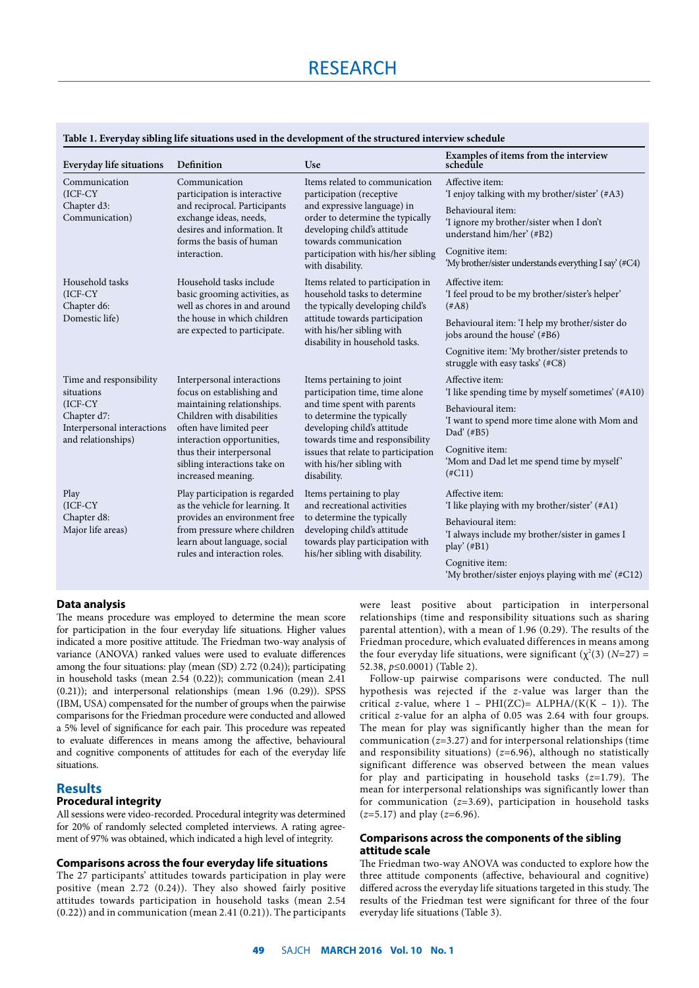# RESEARCH

| Everyday life situations                                                                                               | Definition                                                                                                                                                                                                                                                     | Use                                                                                                                                                                                                                                             | Examples of items from the interview<br>schedule                                           |  |  |
|------------------------------------------------------------------------------------------------------------------------|----------------------------------------------------------------------------------------------------------------------------------------------------------------------------------------------------------------------------------------------------------------|-------------------------------------------------------------------------------------------------------------------------------------------------------------------------------------------------------------------------------------------------|--------------------------------------------------------------------------------------------|--|--|
| Communication<br>(ICF-CY                                                                                               | Communication<br>participation is interactive<br>and reciprocal. Participants<br>exchange ideas, needs,<br>desires and information. It<br>forms the basis of human<br>interaction.                                                                             | Items related to communication<br>participation (receptive<br>and expressive language) in<br>order to determine the typically<br>developing child's attitude<br>towards communication<br>participation with his/her sibling<br>with disability. | Affective item:<br>'I enjoy talking with my brother/sister' (#A3)                          |  |  |
| Chapter d3:<br>Communication)                                                                                          |                                                                                                                                                                                                                                                                |                                                                                                                                                                                                                                                 | Behavioural item:<br>'I ignore my brother/sister when I don't<br>understand him/her' (#B2) |  |  |
|                                                                                                                        |                                                                                                                                                                                                                                                                |                                                                                                                                                                                                                                                 | Cognitive item:<br>'My brother/sister understands everything I say' (#C4)                  |  |  |
| Household tasks<br>$(ICF-CY)$<br>Chapter d6:                                                                           | Household tasks include<br>basic grooming activities, as<br>well as chores in and around<br>the house in which children<br>are expected to participate.                                                                                                        | Items related to participation in<br>household tasks to determine<br>the typically developing child's                                                                                                                                           | Affective item:<br>'I feel proud to be my brother/sister's helper'<br>$(*A8)$              |  |  |
| Domestic life)                                                                                                         |                                                                                                                                                                                                                                                                | attitude towards participation<br>with his/her sibling with<br>disability in household tasks.                                                                                                                                                   | Behavioural item: 'I help my brother/sister do<br>jobs around the house' (#B6)             |  |  |
|                                                                                                                        |                                                                                                                                                                                                                                                                |                                                                                                                                                                                                                                                 | Cognitive item: 'My brother/sister pretends to<br>struggle with easy tasks' (#C8)          |  |  |
| Time and responsibility<br>situations<br>$(ICF-CY)$<br>Chapter d7:<br>Interpersonal interactions<br>and relationships) | Interpersonal interactions<br>focus on establishing and<br>maintaining relationships.<br>Children with disabilities<br>often have limited peer<br>interaction opportunities,<br>thus their interpersonal<br>sibling interactions take on<br>increased meaning. | Items pertaining to joint<br>participation time, time alone<br>and time spent with parents<br>to determine the typically<br>developing child's attitude<br>towards time and responsibility                                                      | Affective item:<br>'I like spending time by myself sometimes' (#A10)                       |  |  |
|                                                                                                                        |                                                                                                                                                                                                                                                                |                                                                                                                                                                                                                                                 | Behavioural item:<br>'I want to spend more time alone with Mom and<br>Dad' (#B5)           |  |  |
|                                                                                                                        |                                                                                                                                                                                                                                                                | issues that relate to participation<br>with his/her sibling with<br>disability.                                                                                                                                                                 | Cognitive item:<br>'Mom and Dad let me spend time by myself'<br>$(\#C11)$                  |  |  |
| Play<br>$(ICF-CY)$<br>Chapter d8:<br>Major life areas)                                                                 | Play participation is regarded<br>as the vehicle for learning. It<br>provides an environment free<br>from pressure where children<br>learn about language, social<br>rules and interaction roles.                                                              | Items pertaining to play<br>and recreational activities                                                                                                                                                                                         | Affective item:<br>'I like playing with my brother/sister' (#A1)                           |  |  |
|                                                                                                                        |                                                                                                                                                                                                                                                                | to determine the typically<br>developing child's attitude<br>towards play participation with                                                                                                                                                    | Behavioural item:<br>'I always include my brother/sister in games I<br>play' $(\#B1)$      |  |  |
|                                                                                                                        |                                                                                                                                                                                                                                                                | his/her sibling with disability.                                                                                                                                                                                                                | Cognitive item:<br>'My brother/sister enjoys playing with me' (#C12)                       |  |  |

# **Table 1. Everyday sibling life situations used in the development of the structured interview schedule**

#### **Data analysis**

The means procedure was employed to determine the mean score for participation in the four everyday life situations. Higher values indicated a more positive attitude. The Friedman two-way analysis of variance (ANOVA) ranked values were used to evaluate differences among the four situations: play (mean (SD) 2.72 (0.24)); participating in household tasks (mean 2.54 (0.22)); communication (mean 2.41 (0.21)); and interpersonal relationships (mean 1.96 (0.29)). SPSS (IBM, USA) compensated for the number of groups when the pairwise comparisons for the Friedman procedure were conducted and allowed a 5% level of significance for each pair. This procedure was repeated to evaluate differences in means among the affective, behavioural and cognitive components of attitudes for each of the everyday life situations.

# **Results**

# **Procedural integrity**

All sessions were video-recorded. Procedural integrity was determined for 20% of randomly selected completed interviews. A rating agreement of 97% was obtained, which indicated a high level of integrity.

# **Comparisons across the four everyday life situations**

The 27 participants' attitudes towards participation in play were positive (mean 2.72 (0.24)). They also showed fairly positive attitudes towards participation in household tasks (mean 2.54 (0.22)) and in communication (mean 2.41 (0.21)). The participants

were least positive about participation in interpersonal relationships (time and responsibility situations such as sharing parental attention), with a mean of 1.96 (0.29). The results of the Friedman procedure, which evaluated differences in means among the four everyday life situations, were significant  $(\chi^2(3)$  (*N*=27) = 52.38, *p*≤0.0001) (Table 2).

Follow-up pairwise comparisons were conducted. The null hypothesis was rejected if the *z*-value was larger than the critical *z*-value, where  $1 - PHI(ZC) = ALPHA/(K(K - 1))$ . The critical *z*-value for an alpha of 0.05 was 2.64 with four groups. The mean for play was significantly higher than the mean for communication (*z*=3.27) and for interpersonal relationships (time and responsibility situations)  $(z=6.96)$ , although no statistically significant difference was observed between the mean values for play and participating in household tasks (*z*=1.79). The mean for interpersonal relationships was significantly lower than for communication (*z*=3.69), participation in household tasks (*z*=5.17) and play (*z*=6.96).

### **Comparisons across the components of the sibling attitude scale**

The Friedman two-way ANOVA was conducted to explore how the three attitude components (affective, behavioural and cognitive) differed across the everyday life situations targeted in this study. The results of the Friedman test were significant for three of the four everyday life situations (Table 3).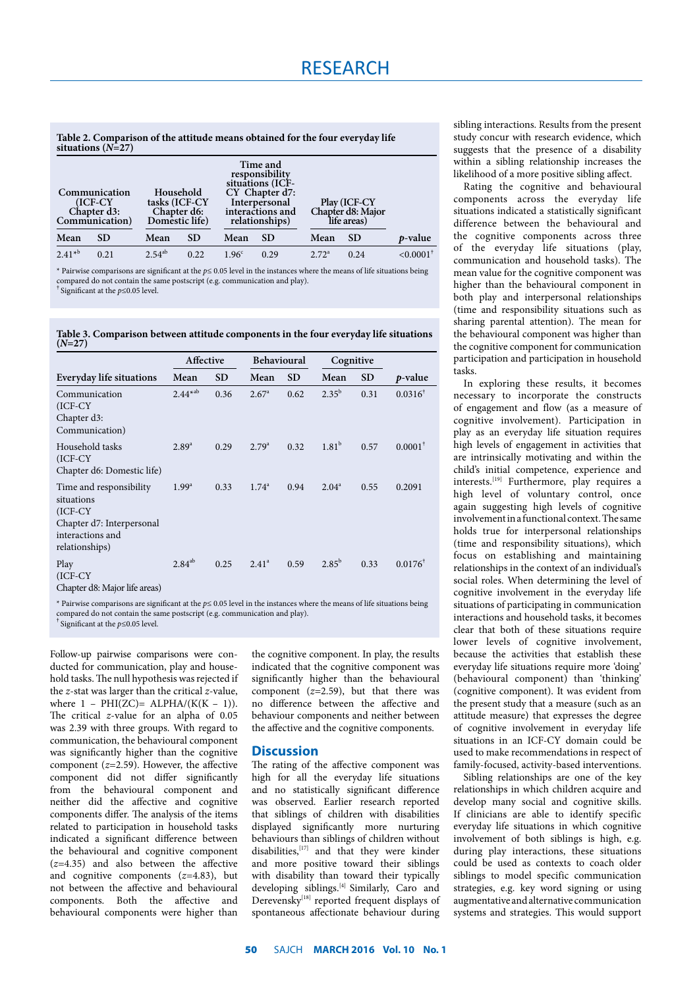**Table 2. Comparison of the attitude means obtained for the four everyday life situations (***N***=27)**

| Communication<br>$(ICF-CY)$<br>Chapter d3:<br>Communication) |           | Household<br>tasks (ICF-CY<br>Chapter d6:<br>Domestic life) |      | Time and<br>responsibility<br>situations (ICF-<br>CY Chapter d7:<br>Interpersonal<br>interactions and<br>relationships) |           | Play (ICF-CY<br>Chapter d8: Major<br>life areas) |           |                         |
|--------------------------------------------------------------|-----------|-------------------------------------------------------------|------|-------------------------------------------------------------------------------------------------------------------------|-----------|--------------------------------------------------|-----------|-------------------------|
| Mean                                                         | <b>SD</b> | Mean                                                        | SD.  | Mean                                                                                                                    | <b>SD</b> | Mean                                             | <b>SD</b> | p-value                 |
| $2.41*^{b}$                                                  | 0.21      | $2.54^{ab}$                                                 | 0.22 | 1.96 <sup>c</sup>                                                                                                       | 0.29      | $2.72^a$                                         | 0.24      | $< 0.0001$ <sup>+</sup> |

\* Pairwise comparisons are significant at the *p*≤ 0.05 level in the instances where the means of life situations being compared do not contain the same postscript (e.g. communication and play).

† Significant at the *p*≤0.05 level.

**Table 3. Comparison between attitude components in the four everyday life situations**   $(N=27)$ 

|                                                                                                                     | Affective      |           | Behavioural    |           | Cognitive      |           |                    |  |
|---------------------------------------------------------------------------------------------------------------------|----------------|-----------|----------------|-----------|----------------|-----------|--------------------|--|
| Everyday life situations                                                                                            | Mean           | <b>SD</b> | Mean           | <b>SD</b> | Mean           | <b>SD</b> | <i>p</i> -value    |  |
| Communication<br>$(ICF-CY)$<br>Chapter d3:<br>Communication)                                                        | $2.44^{*ab}$   | 0.36      | $2.67^{\circ}$ | 0.62      | $2.35^{b}$     | 0.31      | $0.0316^{\dagger}$ |  |
| Household tasks<br>(ICF-CY)<br>Chapter d6: Domestic life)                                                           | $2.89^{a}$     | 0.29      | $2.79^{a}$     | 0.32      | $1.81^{b}$     | 0.57      | $0.0001^*$         |  |
| Time and responsibility<br>situations<br>(ICF-CY<br>Chapter d7: Interpersonal<br>interactions and<br>relationships) | $1.99^{\rm a}$ | 0.33      | $1.74^a$       | 0.94      | $2.04^{\circ}$ | 0.55      | 0.2091             |  |
| Play<br>$(ICF-CY)$<br>Chapter dl. Major life great)                                                                 | $2.84^{ab}$    | 0.25      | $2.41^a$       | 0.59      | $2.85^{b}$     | 0.33      | $0.0176^{\dagger}$ |  |

Chapter d8: Major life areas)

\* Pairwise comparisons are significant at the *p*≤ 0.05 level in the instances where the means of life situations being compared do not contain the same postscript (e.g. communication and play).

† Significant at the *p*≤0.05 level.

Follow-up pairwise comparisons were conducted for communication, play and household tasks. The null hypothesis was rejected if the *z*-stat was larger than the critical *z*-value, where  $1$  – PHI(ZC)= ALPHA/(K(K – 1)). The critical *z*-value for an alpha of 0.05 was 2.39 with three groups. With regard to communication, the behavioural component was significantly higher than the cognitive component (*z=*2.59). However, the affective component did not differ significantly from the behavioural component and neither did the affective and cognitive components differ. The analysis of the items related to participation in household tasks indicated a significant difference between the behavioural and cognitive component (*z=*4.35) and also between the affective and cognitive components (*z=*4.83), but not between the affective and behavioural components. Both the affective and behavioural components were higher than

the cognitive component. In play, the results indicated that the cognitive component was significantly higher than the behavioural component (*z=*2.59), but that there was no difference between the affective and behaviour components and neither between the affective and the cognitive components.

#### **Discussion**

The rating of the affective component was high for all the everyday life situations and no statistically significant difference was observed. Earlier research reported that siblings of children with disabilities displayed significantly more nurturing behaviours than siblings of children without disabilities,<sup>[17]</sup> and that they were kinder and more positive toward their siblings with disability than toward their typically developing siblings.<sup>[4]</sup> Similarly, Caro and Derevensky $^{[18]}$  reported frequent displays of spontaneous affectionate behaviour during

sibling interactions. Results from the present study concur with research evidence, which suggests that the presence of a disability within a sibling relationship increases the likelihood of a more positive sibling affect.

Rating the cognitive and behavioural components across the everyday life situations indicated a statistically significant difference between the behavioural and the cognitive components across three of the everyday life situations (play, communication and household tasks). The mean value for the cognitive component was higher than the behavioural component in both play and interpersonal relationships (time and responsibility situations such as sharing parental attention). The mean for the behavioural component was higher than the cognitive component for communication participation and participation in household tasks.

In exploring these results, it becomes necessary to incorporate the constructs of engagement and flow (as a measure of cognitive involvement). Participation in play as an everyday life situation requires high levels of engagement in activities that are intrinsically motivating and within the child's initial competence, experience and interests.[19] Furthermore, play requires a high level of voluntary control, once again suggesting high levels of cognitive involvement in a functional context. The same holds true for interpersonal relationships (time and responsibility situations), which focus on establishing and maintaining relationships in the context of an individual's social roles. When determining the level of cognitive involvement in the everyday life situations of participating in communication interactions and household tasks, it becomes clear that both of these situations require lower levels of cognitive involvement, because the activities that establish these everyday life situations require more 'doing' (behavioural component) than 'thinking' (cognitive component). It was evident from the present study that a measure (such as an attitude measure) that expresses the degree of cognitive involvement in everyday life situations in an ICF-CY domain could be used to make recommendations in respect of family-focused, activity-based interventions.

Sibling relationships are one of the key relationships in which children acquire and develop many social and cognitive skills. If clinicians are able to identify specific everyday life situations in which cognitive involvement of both siblings is high, e.g. during play interactions, these situations could be used as contexts to coach older siblings to model specific communication strategies, e.g. key word signing or using augmentative and alternative communication systems and strategies. This would support